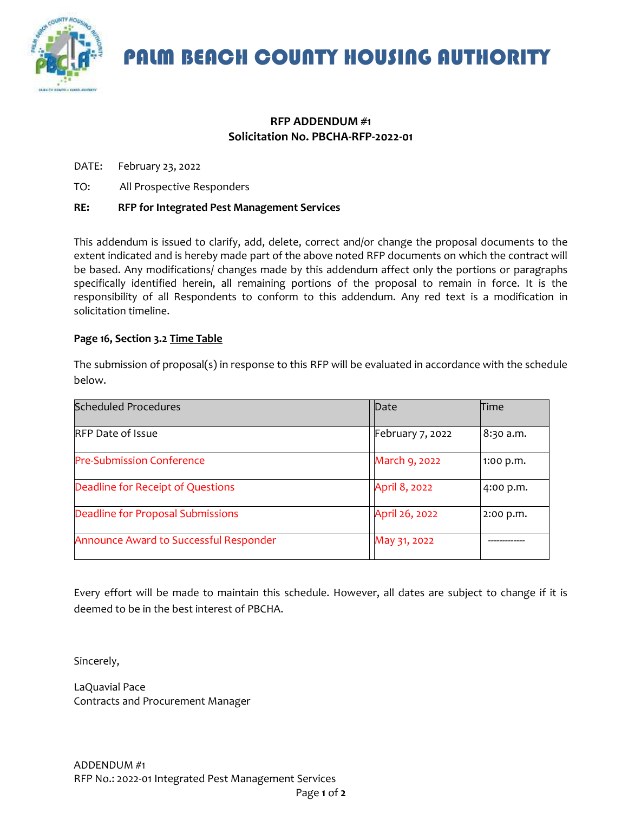

PALM BEACH COUNTY HOUSING AUTHORITY

## **RFP ADDENDUM #1 Solicitation No. PBCHA-RFP-2022-01**

DATE: February 23, 2022

TO: All Prospective Responders

## **RE: RFP for Integrated Pest Management Services**

This addendum is issued to clarify, add, delete, correct and/or change the proposal documents to the extent indicated and is hereby made part of the above noted RFP documents on which the contract will be based. Any modifications/ changes made by this addendum affect only the portions or paragraphs specifically identified herein, all remaining portions of the proposal to remain in force. It is the responsibility of all Respondents to conform to this addendum. Any red text is a modification in solicitation timeline.

## **Page 16, Section 3.2 Time Table**

| <b>Scheduled Procedures</b>            | Date             | Time        |
|----------------------------------------|------------------|-------------|
| <b>RFP Date of Issue</b>               | February 7, 2022 | 8:30 a.m.   |
| <b>Pre-Submission Conference</b>       | March 9, 2022    | 1:00 p.m.   |
| Deadline for Receipt of Questions      | April 8, 2022    | 4:00 p.m.   |
| Deadline for Proposal Submissions      | April 26, 2022   | $2:00$ p.m. |
| Announce Award to Successful Responder | May 31, 2022     |             |

The submission of proposal(s) in response to this RFP will be evaluated in accordance with the schedule below.

Every effort will be made to maintain this schedule. However, all dates are subject to change if it is deemed to be in the best interest of PBCHA.

Sincerely,

LaQuavial Pace Contracts and Procurement Manager